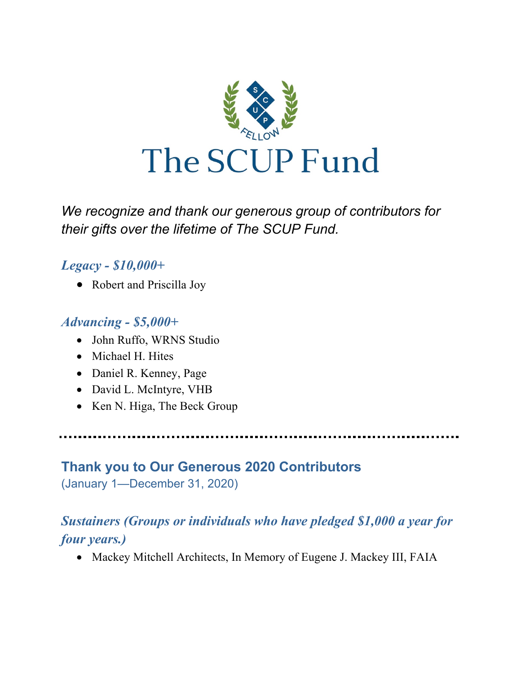

*We recognize and thank our generous group of contributors for their gifts over the lifetime of The SCUP Fund.*

# *Legacy - \$10,000+*

• Robert and Priscilla Joy

#### *Advancing - \$5,000+*

- John Ruffo, WRNS Studio
- Michael H. Hites
- Daniel R. Kenney, Page
- David L. McIntyre, VHB
- Ken N. Higa, The Beck Group

# **Thank you to Our Generous 2020 Contributors**

(January 1—December 31, 2020)

# *Sustainers (Groups or individuals who have pledged \$1,000 a year for four years.)*

• Mackey Mitchell Architects, In Memory of Eugene J. Mackey III, FAIA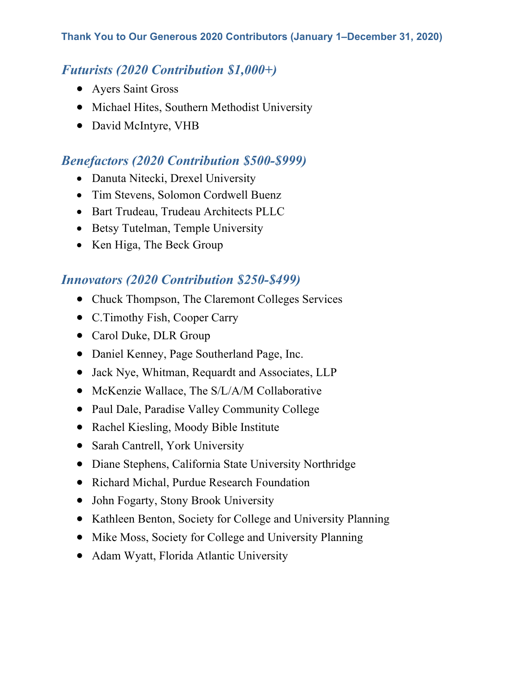# *Futurists (2020 Contribution \$1,000+)*

- Ayers Saint Gross
- Michael Hites, Southern Methodist University
- David McIntyre, VHB

### *Benefactors (2020 Contribution \$500-\$999)*

- Danuta Nitecki, Drexel University
- Tim Stevens, Solomon Cordwell Buenz
- Bart Trudeau, Trudeau Architects PLLC
- Betsy Tutelman, Temple University
- Ken Higa, The Beck Group

# *Innovators (2020 Contribution \$250-\$499)*

- Chuck Thompson, The Claremont Colleges Services
- C.Timothy Fish, Cooper Carry
- Carol Duke, DLR Group
- Daniel Kenney, Page Southerland Page, Inc.
- Jack Nye, Whitman, Requardt and Associates, LLP
- McKenzie Wallace, The S/L/A/M Collaborative
- Paul Dale, Paradise Valley Community College
- Rachel Kiesling, Moody Bible Institute
- Sarah Cantrell, York University
- Diane Stephens, California State University Northridge
- Richard Michal, Purdue Research Foundation
- John Fogarty, Stony Brook University
- Kathleen Benton, Society for College and University Planning
- Mike Moss, Society for College and University Planning
- Adam Wyatt, Florida Atlantic University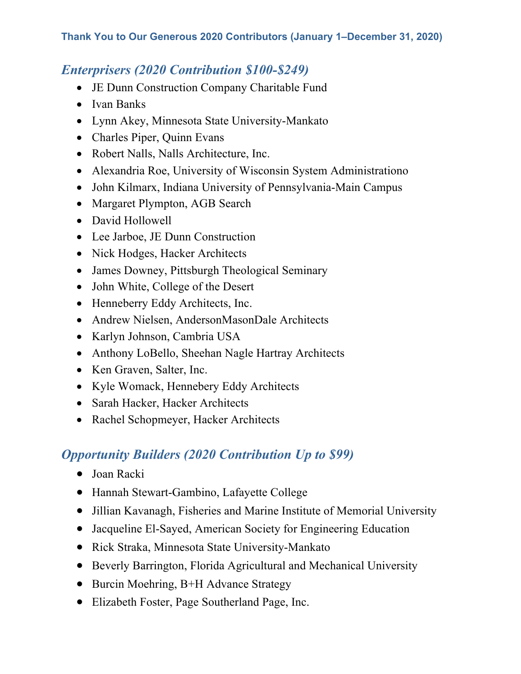### *Enterprisers (2020 Contribution \$100-\$249)*

- JE Dunn Construction Company Charitable Fund
- Ivan Banks
- Lynn Akey, Minnesota State University-Mankato
- Charles Piper, Quinn Evans
- Robert Nalls, Nalls Architecture, Inc.
- Alexandria Roe, University of Wisconsin System Administrationo
- John Kilmarx, Indiana University of Pennsylvania-Main Campus
- Margaret Plympton, AGB Search
- David Hollowell
- Lee Jarboe, JE Dunn Construction
- Nick Hodges, Hacker Architects
- James Downey, Pittsburgh Theological Seminary
- John White, College of the Desert
- Henneberry Eddy Architects, Inc.
- Andrew Nielsen, AndersonMasonDale Architects
- Karlyn Johnson, Cambria USA
- Anthony LoBello, Sheehan Nagle Hartray Architects
- Ken Graven, Salter, Inc.
- Kyle Womack, Hennebery Eddy Architects
- Sarah Hacker, Hacker Architects
- Rachel Schopmeyer, Hacker Architects

# *Opportunity Builders (2020 Contribution Up to \$99)*

- Joan Racki
- Hannah Stewart-Gambino, Lafayette College
- Jillian Kavanagh, Fisheries and Marine Institute of Memorial University
- Jacqueline El-Sayed, American Society for Engineering Education
- Rick Straka, Minnesota State University-Mankato
- Beverly Barrington, Florida Agricultural and Mechanical University
- Burcin Moehring, B+H Advance Strategy
- Elizabeth Foster, Page Southerland Page, Inc.